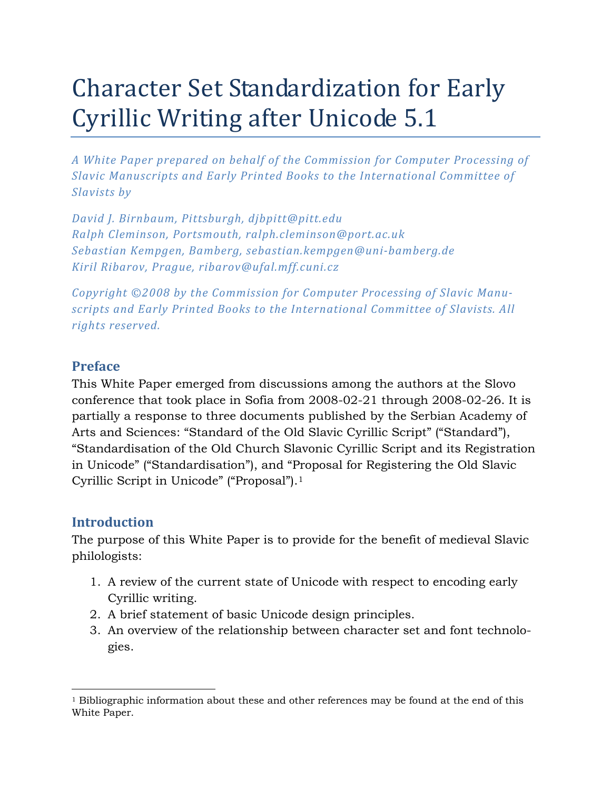# Character Set Standardization for Early Cyrillic Writing after Unicode 5.1

*A White Paper prepared on behalf of the Commission for Computer Processing of Slavic Manuscripts and Early Printed Books to the International Committee of Slavists by* 

*David J. Birnbaum, Pittsburgh, djbpitt@pitt.edu Ralph Cleminson, Portsmouth, ralph.cleminson@port.ac.uk Sebastian Kempgen, Bamberg, sebastian.kempgen@unibamberg.de Kiril Ribarov, Prague, ribarov@ufal.mff.cuni.cz*

*Copyright ©2008 by the Commission for Computer Processing of Slavic Manuscripts and Early Printed Books to the International Committee of Slavists. All rights reserved.*

# **Preface**

This White Paper emerged from discussions among the authors at the Slovo conference that took place in Sofia from 2008-02-21 through 2008-02-26. It is partially a response to three documents published by the Serbian Academy of Arts and Sciences: "Standard of the Old Slavic Cyrillic Script" ("Standard"), "Standardisation of the Old Church Slavonic Cyrillic Script and its Registration in Unicode" ("Standardisation"), and "Proposal for Registering the Old Slavic Cyrillic Script in Unicode" ("Proposal").[1](#page-0-0)

# **Introduction**

The purpose of this White Paper is to provide for the benefit of medieval Slavic philologists:

- 1. A review of the current state of Unicode with respect to encoding early Cyrillic writing.
- 2. A brief statement of basic Unicode design principles.
- 3. An overview of the relationship between character set and font technologies.

<span id="page-0-0"></span> $\overline{a}$  $1$  Bibliographic information about these and other references may be found at the end of this White Paper.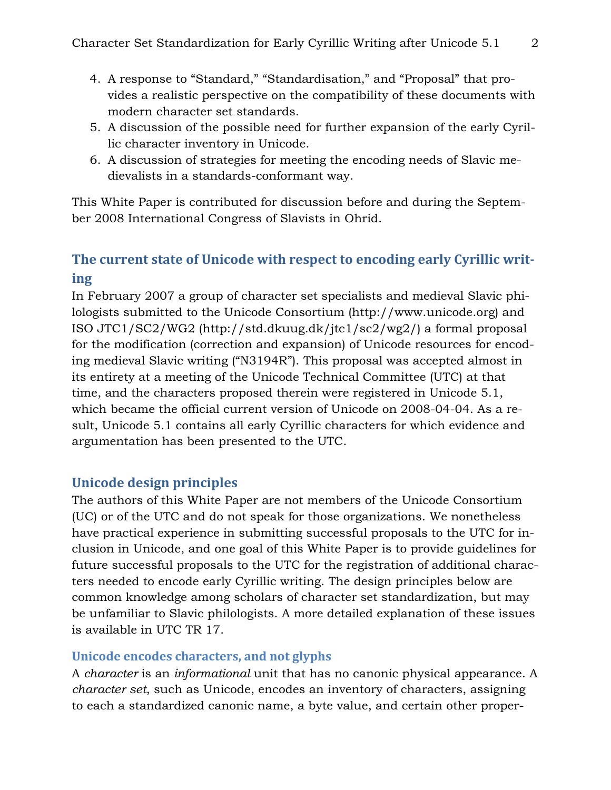- 4. A response to "Standard," "Standardisation," and "Proposal" that provides a realistic perspective on the compatibility of these documents with modern character set standards.
- 5. A discussion of the possible need for further expansion of the early Cyrillic character inventory in Unicode.
- 6. A discussion of strategies for meeting the encoding needs of Slavic medievalists in a standards-conformant way.

This White Paper is contributed for discussion before and during the September 2008 International Congress of Slavists in Ohrid.

# **The current state of Unicode with respect to encoding early Cyrillic writing**

In February 2007 a group of character set specialists and medieval Slavic philologists submitted to the Unicode Consortium (http://www.unicode.org) and ISO JTC1/SC2/WG2 (http://std.dkuug.dk/jtc1/sc2/wg2/) a formal proposal for the modification (correction and expansion) of Unicode resources for encoding medieval Slavic writing ("N3194R"). This proposal was accepted almost in its entirety at a meeting of the Unicode Technical Committee (UTC) at that time, and the characters proposed therein were registered in Unicode 5.1, which became the official current version of Unicode on 2008-04-04. As a result, Unicode 5.1 contains all early Cyrillic characters for which evidence and argumentation has been presented to the UTC.

#### **Unicode design principles**

The authors of this White Paper are not members of the Unicode Consortium (UC) or of the UTC and do not speak for those organizations. We nonetheless have practical experience in submitting successful proposals to the UTC for inclusion in Unicode, and one goal of this White Paper is to provide guidelines for future successful proposals to the UTC for the registration of additional characters needed to encode early Cyrillic writing. The design principles below are common knowledge among scholars of character set standardization, but may be unfamiliar to Slavic philologists. A more detailed explanation of these issues is available in UTC TR 17.

#### **Unicode encodes characters, and not glyphs**

A *character* is an *informational* unit that has no canonic physical appearance. A *character set*, such as Unicode, encodes an inventory of characters, assigning to each a standardized canonic name, a byte value, and certain other proper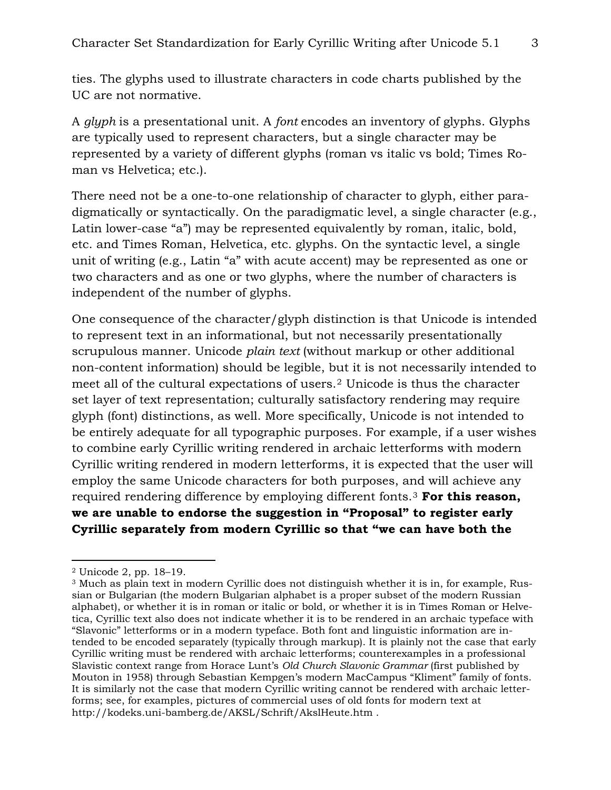ties. The glyphs used to illustrate characters in code charts published by the UC are not normative.

A *glyph* is a presentational unit. A *font* encodes an inventory of glyphs. Glyphs are typically used to represent characters, but a single character may be represented by a variety of different glyphs (roman vs italic vs bold; Times Roman vs Helvetica; etc.).

There need not be a one-to-one relationship of character to glyph, either paradigmatically or syntactically. On the paradigmatic level, a single character (e.g., Latin lower-case "a") may be represented equivalently by roman, italic, bold, etc. and Times Roman, Helvetica, etc. glyphs. On the syntactic level, a single unit of writing (e.g., Latin "a" with acute accent) may be represented as one or two characters and as one or two glyphs, where the number of characters is independent of the number of glyphs.

One consequence of the character/glyph distinction is that Unicode is intended to represent text in an informational, but not necessarily presentationally scrupulous manner. Unicode *plain text* (without markup or other additional non-content information) should be legible, but it is not necessarily intended to meet all of the cultural expectations of users.[2](#page-2-0) Unicode is thus the character set layer of text representation; culturally satisfactory rendering may require glyph (font) distinctions, as well. More specifically, Unicode is not intended to be entirely adequate for all typographic purposes. For example, if a user wishes to combine early Cyrillic writing rendered in archaic letterforms with modern Cyrillic writing rendered in modern letterforms, it is expected that the user will employ the same Unicode characters for both purposes, and will achieve any required rendering difference by employing different fonts.[3](#page-2-1) **For this reason, we are unable to endorse the suggestion in "Proposal" to register early Cyrillic separately from modern Cyrillic so that "we can have both the** 

<span id="page-2-0"></span><sup>2</sup> Unicode 2, pp. 18–19.

<span id="page-2-1"></span><sup>3</sup> Much as plain text in modern Cyrillic does not distinguish whether it is in, for example, Russian or Bulgarian (the modern Bulgarian alphabet is a proper subset of the modern Russian alphabet), or whether it is in roman or italic or bold, or whether it is in Times Roman or Helvetica, Cyrillic text also does not indicate whether it is to be rendered in an archaic typeface with "Slavonic" letterforms or in a modern typeface. Both font and linguistic information are intended to be encoded separately (typically through markup). It is plainly not the case that early Cyrillic writing must be rendered with archaic letterforms; counterexamples in a professional Slavistic context range from Horace Lunt's *Old Church Slavonic Grammar* (first published by Mouton in 1958) through Sebastian Kempgen's modern MacCampus "Kliment" family of fonts. It is similarly not the case that modern Cyrillic writing cannot be rendered with archaic letterforms; see, for examples, pictures of commercial uses of old fonts for modern text at http://kodeks.uni-bamberg.de/AKSL/Schrift/AkslHeute.htm .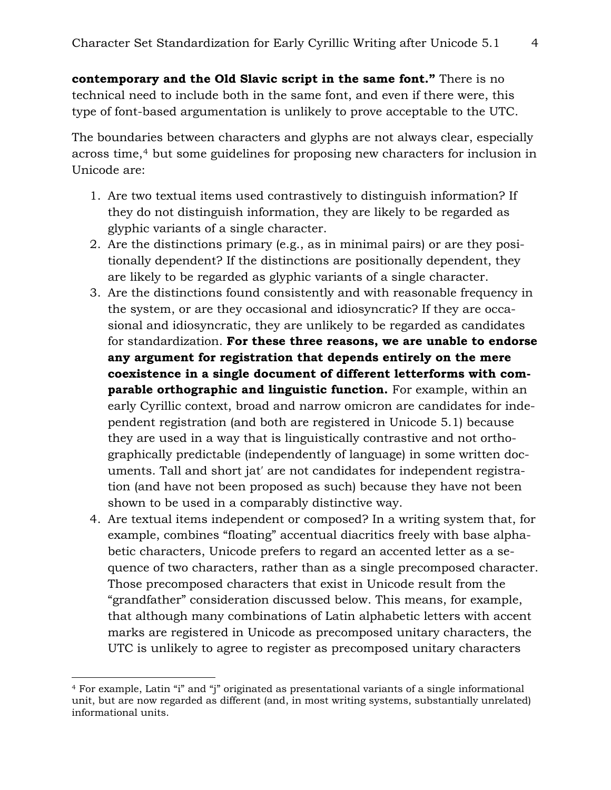**contemporary and the Old Slavic script in the same font."** There is no technical need to include both in the same font, and even if there were, this type of font-based argumentation is unlikely to prove acceptable to the UTC.

The boundaries between characters and glyphs are not always clear, especially across time,<sup>[4](#page-3-0)</sup> but some guidelines for proposing new characters for inclusion in Unicode are:

- 1. Are two textual items used contrastively to distinguish information? If they do not distinguish information, they are likely to be regarded as glyphic variants of a single character.
- 2. Are the distinctions primary (e.g., as in minimal pairs) or are they positionally dependent? If the distinctions are positionally dependent, they are likely to be regarded as glyphic variants of a single character.
- 3. Are the distinctions found consistently and with reasonable frequency in the system, or are they occasional and idiosyncratic? If they are occasional and idiosyncratic, they are unlikely to be regarded as candidates for standardization. **For these three reasons, we are unable to endorse any argument for registration that depends entirely on the mere coexistence in a single document of different letterforms with comparable orthographic and linguistic function.** For example, within an early Cyrillic context, broad and narrow omicron are candidates for independent registration (and both are registered in Unicode 5.1) because they are used in a way that is linguistically contrastive and not orthographically predictable (independently of language) in some written documents. Tall and short jat′ are not candidates for independent registration (and have not been proposed as such) because they have not been shown to be used in a comparably distinctive way.
- 4. Are textual items independent or composed? In a writing system that, for example, combines "floating" accentual diacritics freely with base alphabetic characters, Unicode prefers to regard an accented letter as a sequence of two characters, rather than as a single precomposed character. Those precomposed characters that exist in Unicode result from the "grandfather" consideration discussed below. This means, for example, that although many combinations of Latin alphabetic letters with accent marks are registered in Unicode as precomposed unitary characters, the UTC is unlikely to agree to register as precomposed unitary characters

-

<span id="page-3-0"></span><sup>4</sup> For example, Latin "i" and "j" originated as presentational variants of a single informational unit, but are now regarded as different (and, in most writing systems, substantially unrelated) informational units.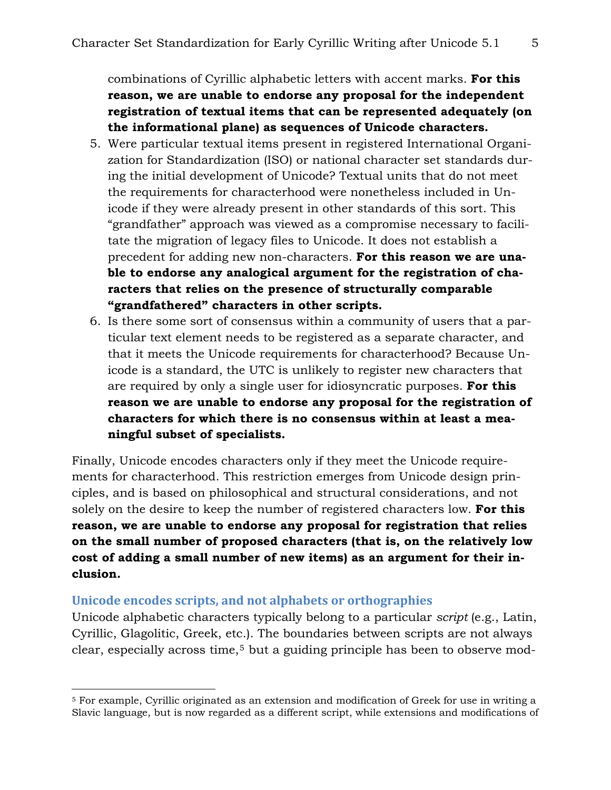combinations of Cyrillic alphabetic letters with accent marks. **For this reason, we are unable to endorse any proposal for the independent registration of textual items that can be represented adequately (on the informational plane) as sequences of Unicode characters.**

- 5. Were particular textual items present in registered International Organization for Standardization (ISO) or national character set standards during the initial development of Unicode? Textual units that do not meet the requirements for characterhood were nonetheless included in Unicode if they were already present in other standards of this sort. This "grandfather" approach was viewed as a compromise necessary to facilitate the migration of legacy files to Unicode. It does not establish a precedent for adding new non-characters. **For this reason we are unable to endorse any analogical argument for the registration of characters that relies on the presence of structurally comparable "grandfathered" characters in other scripts.**
- 6. Is there some sort of consensus within a community of users that a particular text element needs to be registered as a separate character, and that it meets the Unicode requirements for characterhood? Because Unicode is a standard, the UTC is unlikely to register new characters that are required by only a single user for idiosyncratic purposes. **For this reason we are unable to endorse any proposal for the registration of characters for which there is no consensus within at least a meaningful subset of specialists.**

Finally, Unicode encodes characters only if they meet the Unicode requirements for characterhood. This restriction emerges from Unicode design principles, and is based on philosophical and structural considerations, and not solely on the desire to keep the number of registered characters low. **For this reason, we are unable to endorse any proposal for registration that relies on the small number of proposed characters (that is, on the relatively low cost of adding a small number of new items) as an argument for their inclusion.** 

#### **Unicode encodes scripts, and not alphabets or orthographies**

 $\overline{a}$ 

Unicode alphabetic characters typically belong to a particular *script* (e.g., Latin, Cyrillic, Glagolitic, Greek, etc.). The boundaries between scripts are not always clear, especially across time,<sup>[5](#page-4-0)</sup> but a guiding principle has been to observe mod-

<span id="page-4-0"></span><sup>5</sup> For example, Cyrillic originated as an extension and modification of Greek for use in writing a Slavic language, but is now regarded as a different script, while extensions and modifications of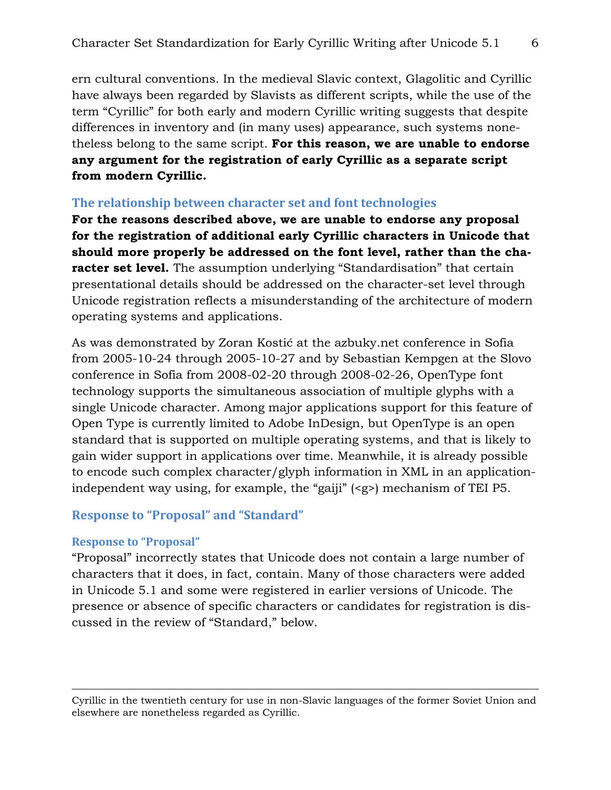ern cultural conventions. In the medieval Slavic context, Glagolitic and Cyrillic have always been regarded by Slavists as different scripts, while the use of the term "Cyrillic" for both early and modern Cyrillic writing suggests that despite differences in inventory and (in many uses) appearance, such systems nonetheless belong to the same script. **For this reason, we are unable to endorse any argument for the registration of early Cyrillic as a separate script from modern Cyrillic.** 

#### **The relationship between character set and font technologies**

**For the reasons described above, we are unable to endorse any proposal for the registration of additional early Cyrillic characters in Unicode that should more properly be addressed on the font level, rather than the character set level.** The assumption underlying "Standardisation" that certain presentational details should be addressed on the character-set level through Unicode registration reflects a misunderstanding of the architecture of modern operating systems and applications.

As was demonstrated by Zoran Kostić at the azbuky.net conference in Sofia from 2005-10-24 through 2005-10-27 and by Sebastian Kempgen at the Slovo conference in Sofia from 2008-02-20 through 2008-02-26, OpenType font technology supports the simultaneous association of multiple glyphs with a single Unicode character. Among major applications support for this feature of Open Type is currently limited to Adobe InDesign, but OpenType is an open standard that is supported on multiple operating systems, and that is likely to gain wider support in applications over time. Meanwhile, it is already possible to encode such complex character/glyph information in XML in an applicationindependent way using, for example, the "gaiji"  $\langle \langle g \rangle$  mechanism of TEI P5.

#### **Response to "Proposal" and "Standard"**

#### **Response to "Proposal"**

 $\overline{a}$ 

"Proposal" incorrectly states that Unicode does not contain a large number of characters that it does, in fact, contain. Many of those characters were added in Unicode 5.1 and some were registered in earlier versions of Unicode. The presence or absence of specific characters or candidates for registration is discussed in the review of "Standard," below.

Cyrillic in the twentieth century for use in non-Slavic languages of the former Soviet Union and elsewhere are nonetheless regarded as Cyrillic.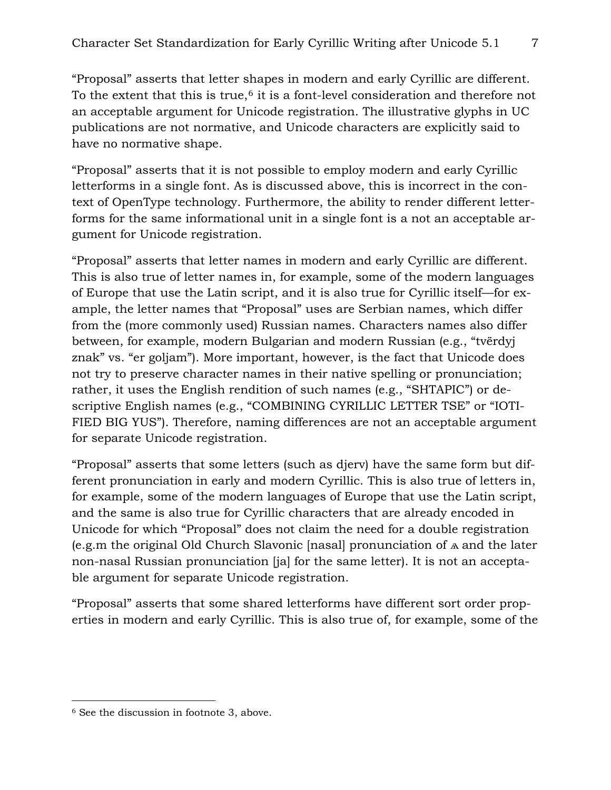"Proposal" asserts that letter shapes in modern and early Cyrillic are different. To the extent that this is true, $6$  it is a font-level consideration and therefore not an acceptable argument for Unicode registration. The illustrative glyphs in UC publications are not normative, and Unicode characters are explicitly said to have no normative shape.

"Proposal" asserts that it is not possible to employ modern and early Cyrillic letterforms in a single font. As is discussed above, this is incorrect in the context of OpenType technology. Furthermore, the ability to render different letterforms for the same informational unit in a single font is a not an acceptable argument for Unicode registration.

"Proposal" asserts that letter names in modern and early Cyrillic are different. This is also true of letter names in, for example, some of the modern languages of Europe that use the Latin script, and it is also true for Cyrillic itself—for example, the letter names that "Proposal" uses are Serbian names, which differ from the (more commonly used) Russian names. Characters names also differ between, for example, modern Bulgarian and modern Russian (e.g., "tvërdyj znak" vs. "er goljam"). More important, however, is the fact that Unicode does not try to preserve character names in their native spelling or pronunciation; rather, it uses the English rendition of such names (e.g., "SHTAPIC") or descriptive English names (e.g., "COMBINING CYRILLIC LETTER TSE" or "IOTI-FIED BIG YUS"). Therefore, naming differences are not an acceptable argument for separate Unicode registration.

"Proposal" asserts that some letters (such as djerv) have the same form but different pronunciation in early and modern Cyrillic. This is also true of letters in, for example, some of the modern languages of Europe that use the Latin script, and the same is also true for Cyrillic characters that are already encoded in Unicode for which "Proposal" does not claim the need for a double registration (e.g.m the original Old Church Slavonic [nasal] pronunciation of ѧ and the later non-nasal Russian pronunciation [ja] for the same letter). It is not an acceptable argument for separate Unicode registration.

"Proposal" asserts that some shared letterforms have different sort order properties in modern and early Cyrillic. This is also true of, for example, some of the

-

<span id="page-6-0"></span><sup>&</sup>lt;sup>6</sup> See the discussion in footnote 3, above.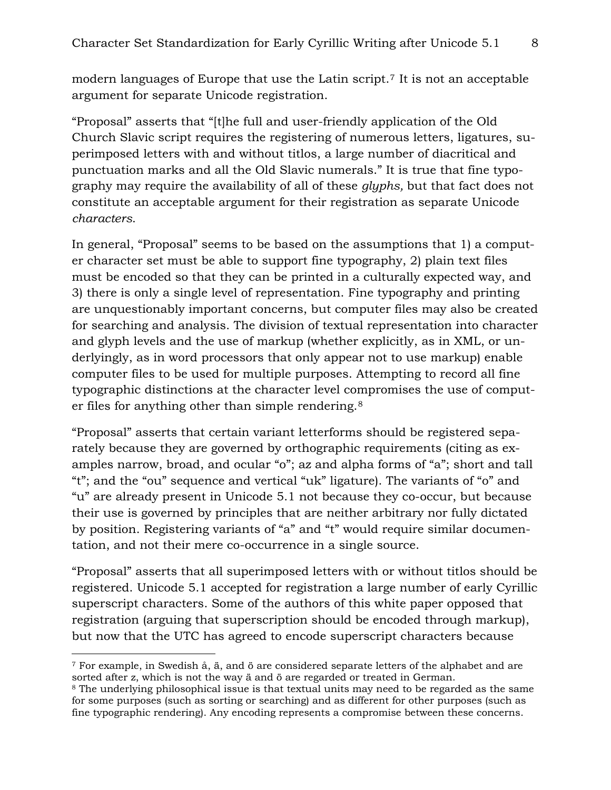modern languages of Europe that use the Latin script.[7](#page-7-0) It is not an acceptable argument for separate Unicode registration.

"Proposal" asserts that "[t]he full and user-friendly application of the Old Church Slavic script requires the registering of numerous letters, ligatures, superimposed letters with and without titlos, a large number of diacritical and punctuation marks and all the Old Slavic numerals." It is true that fine typography may require the availability of all of these *glyphs,* but that fact does not constitute an acceptable argument for their registration as separate Unicode *characters*.

In general, "Proposal" seems to be based on the assumptions that 1) a computer character set must be able to support fine typography, 2) plain text files must be encoded so that they can be printed in a culturally expected way, and 3) there is only a single level of representation. Fine typography and printing are unquestionably important concerns, but computer files may also be created for searching and analysis. The division of textual representation into character and glyph levels and the use of markup (whether explicitly, as in XML, or underlyingly, as in word processors that only appear not to use markup) enable computer files to be used for multiple purposes. Attempting to record all fine typographic distinctions at the character level compromises the use of computer files for anything other than simple rendering.[8](#page-7-1)

"Proposal" asserts that certain variant letterforms should be registered separately because they are governed by orthographic requirements (citing as examples narrow, broad, and ocular "o"; az and alpha forms of "a"; short and tall "t"; and the "ou" sequence and vertical "uk" ligature). The variants of "o" and "u" are already present in Unicode 5.1 not because they co-occur, but because their use is governed by principles that are neither arbitrary nor fully dictated by position. Registering variants of "a" and "t" would require similar documentation, and not their mere co-occurrence in a single source.

"Proposal" asserts that all superimposed letters with or without titlos should be registered. Unicode 5.1 accepted for registration a large number of early Cyrillic superscript characters. Some of the authors of this white paper opposed that registration (arguing that superscription should be encoded through markup), but now that the UTC has agreed to encode superscript characters because

<span id="page-7-0"></span><sup>7</sup> For example, in Swedish å, ä, and ö are considered separate letters of the alphabet and are sorted after z, which is not the way ä and ö are regarded or treated in German.

<span id="page-7-1"></span><sup>&</sup>lt;sup>8</sup> The underlying philosophical issue is that textual units may need to be regarded as the same for some purposes (such as sorting or searching) and as different for other purposes (such as fine typographic rendering). Any encoding represents a compromise between these concerns.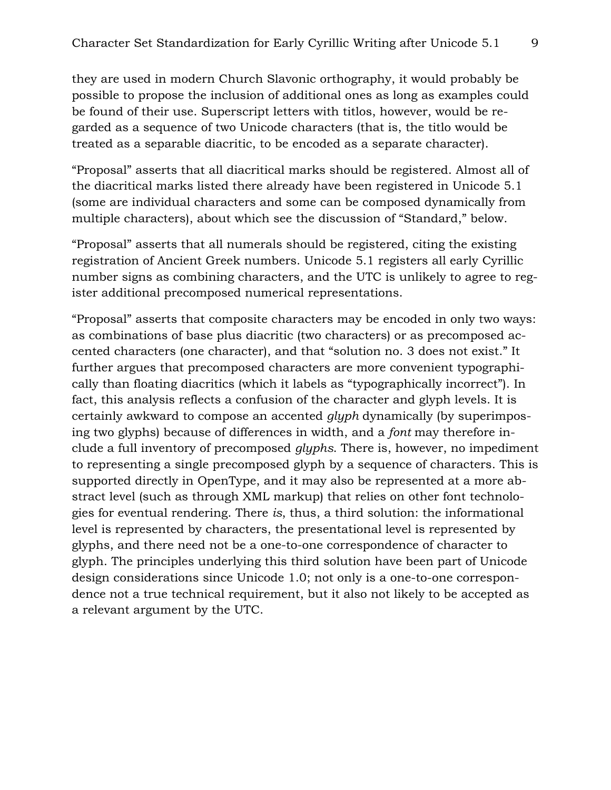they are used in modern Church Slavonic orthography, it would probably be possible to propose the inclusion of additional ones as long as examples could be found of their use. Superscript letters with titlos, however, would be regarded as a sequence of two Unicode characters (that is, the titlo would be treated as a separable diacritic, to be encoded as a separate character).

"Proposal" asserts that all diacritical marks should be registered. Almost all of the diacritical marks listed there already have been registered in Unicode 5.1 (some are individual characters and some can be composed dynamically from multiple characters), about which see the discussion of "Standard," below.

"Proposal" asserts that all numerals should be registered, citing the existing registration of Ancient Greek numbers. Unicode 5.1 registers all early Cyrillic number signs as combining characters, and the UTC is unlikely to agree to register additional precomposed numerical representations.

"Proposal" asserts that composite characters may be encoded in only two ways: as combinations of base plus diacritic (two characters) or as precomposed accented characters (one character), and that "solution no. 3 does not exist." It further argues that precomposed characters are more convenient typographically than floating diacritics (which it labels as "typographically incorrect"). In fact, this analysis reflects a confusion of the character and glyph levels. It is certainly awkward to compose an accented *glyph* dynamically (by superimposing two glyphs) because of differences in width, and a *font* may therefore include a full inventory of precomposed *glyphs*. There is, however, no impediment to representing a single precomposed glyph by a sequence of characters. This is supported directly in OpenType, and it may also be represented at a more abstract level (such as through XML markup) that relies on other font technologies for eventual rendering. There *is*, thus, a third solution: the informational level is represented by characters, the presentational level is represented by glyphs, and there need not be a one-to-one correspondence of character to glyph. The principles underlying this third solution have been part of Unicode design considerations since Unicode 1.0; not only is a one-to-one correspondence not a true technical requirement, but it also not likely to be accepted as a relevant argument by the UTC.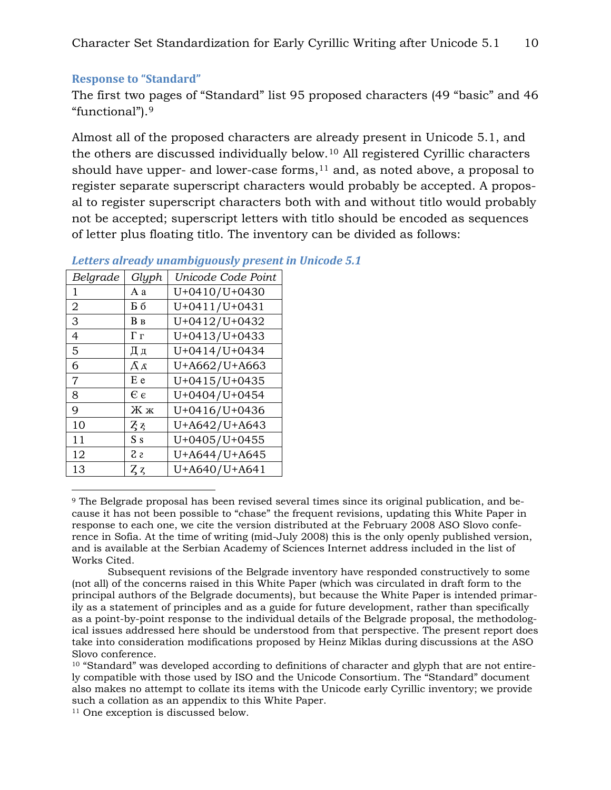#### **Response to "Standard"**

The first two pages of "Standard" list 95 proposed characters (49 "basic" and 46 "functional").[9](#page-9-0)

Almost all of the proposed characters are already present in Unicode 5.1, and the others are discussed individually below.[10](#page-9-1) All registered Cyrillic characters should have upper- and lower-case forms, $11$  and, as noted above, a proposal to register separate superscript characters would probably be accepted. A proposal to register superscript characters both with and without titlo would probably not be accepted; superscript letters with titlo should be encoded as sequences of letter plus floating titlo. The inventory can be divided as follows:

| Belgrade       | Glyph               | Unicode Code Point |
|----------------|---------------------|--------------------|
| 1              | A a                 | U+0410/U+0430      |
| $\overline{2}$ | Бб                  | U+0411/U+0431      |
| 3              | Bв                  | U+0412/U+0432      |
| 4              | Γг                  | U+0413/U+0433      |
| 5              | Дд                  | U+0414/U+0434      |
| 6              | Дд                  | U+A662/U+A663      |
| $\overline{7}$ | E e                 | $U+0415/U+0435$    |
| 8              | $\epsilon$          | U+0404/U+0454      |
| $\mathbf Q$    | $\mathbb{X} \times$ | U+0416/U+0436      |
| 10             | ZZ                  | U+A642/U+A643      |
| 11             | S s                 | U+0405/U+0455      |
| 12             | 22                  | U+A644/U+A645      |
| 13             | $Z_5$               | U+A640/U+A641      |

*Letters already unambiguously present in Unicode 5.1* 

<span id="page-9-2"></span><sup>11</sup> One exception is discussed below.

<span id="page-9-0"></span> $\overline{a}$ 9 The Belgrade proposal has been revised several times since its original publication, and because it has not been possible to "chase" the frequent revisions, updating this White Paper in response to each one, we cite the version distributed at the February 2008 ASO Slovo conference in Sofia. At the time of writing (mid-July 2008) this is the only openly published version, and is available at the Serbian Academy of Sciences Internet address included in the list of Works Cited.

Subsequent revisions of the Belgrade inventory have responded constructively to some (not all) of the concerns raised in this White Paper (which was circulated in draft form to the principal authors of the Belgrade documents), but because the White Paper is intended primarily as a statement of principles and as a guide for future development, rather than specifically as a point-by-point response to the individual details of the Belgrade proposal, the methodological issues addressed here should be understood from that perspective. The present report does take into consideration modifications proposed by Heinz Miklas during discussions at the ASO Slovo conference.

<span id="page-9-1"></span><sup>10 &</sup>quot;Standard" was developed according to definitions of character and glyph that are not entirely compatible with those used by ISO and the Unicode Consortium. The "Standard" document also makes no attempt to collate its items with the Unicode early Cyrillic inventory; we provide such a collation as an appendix to this White Paper.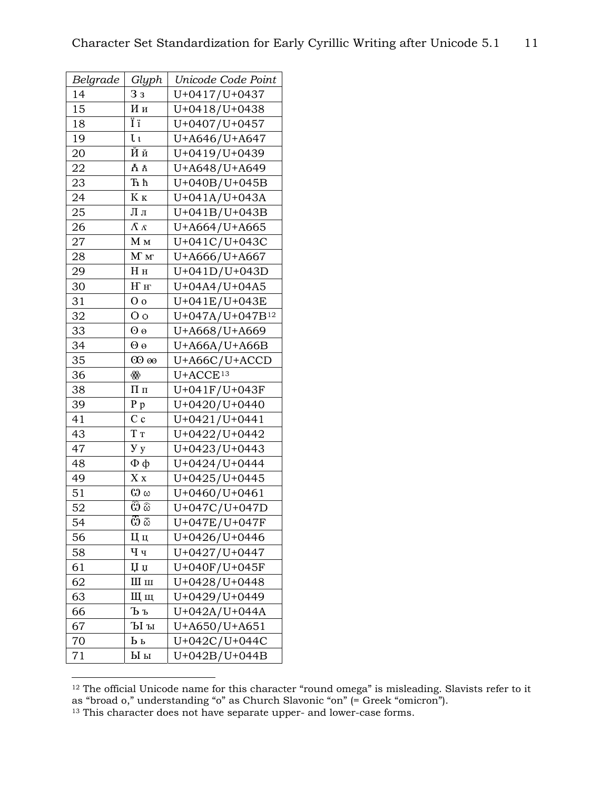| Belgrade | Glyph               | Unicode Code Point |
|----------|---------------------|--------------------|
| 14       | Зз                  | U+0417/U+0437      |
| 15       | Ии                  | U+0418/U+0438      |
| 18       | Ϊï                  | U+0407/U+0457      |
| 19       | $\iota$             | U+A646/U+A647      |
| 20       | Йй                  | U+0419/U+0439      |
| 22       | ħħ                  | U+A648/U+A649      |
| 23       | Ћħ                  | U+040B/U+045B      |
| 24       | $K$ $\kappa$        | U+041A/U+043A      |
| 25       | Лл                  | U+041B/U+043B      |
| 26       | $\Lambda$ $\Lambda$ | U+A664/U+A665      |
| 27       | Mм                  | U+041C/U+043C      |
| 28       | $M_{\rm M}$         | U+A666/U+A667      |
| 29       | $H$ H               | $U+041D/U+043D$    |
| 30       | $H$ <sub>H</sub>    | U+04A4/U+04A5      |
| 31       | O <sub>o</sub>      | U+041E/U+043E      |
| 32       | O o                 | U+047A/U+047B12    |
| 33       | $\Theta$ $\Theta$   | U+A668/U+A669      |
| 34       | $\Theta$ $\Theta$   | $U+AG6A/U+AG6B$    |
| 35       | 600                 | $U+AG6C/U+ACCD$    |
| 36       | ₩                   | $U+ACCE13$         |
| 38       | Πп                  | U+041F/U+043F      |
| 39       | $P_p$               | U+0420/U+0440      |
| 41       | C <sub>c</sub>      | $U+0421/U+0441$    |
| 43       | Tт                  | U+0422/U+0442      |
| 47       | y <sub>y</sub>      | U+0423/U+0443      |
| 48       | $\Phi \Phi$         | U+0424/U+0444      |
| 49       | X x                 | U+0425/U+0445      |
| 51       | $\omega$            | U+0460/U+0461      |
| 52       | Ĝδ                  | U+047C/U+047D      |
| 54       | ය ය                 | U+047E/U+047F      |
| 56       | Цц                  | U+0426/U+0446      |
| 58       | Чч                  | U+0427/U+0447      |
| 61       | $\upmu$             | U+040F/U+045F      |
| 62       | Ш ш                 | U+0428/U+0448      |
| 63       | Щщ                  | U+0429/U+0449      |
| 66       | Ъъ                  | U+042A/U+044A      |
| 67       | Ыы                  | U+A650/U+A651      |
| 70       | Ьь                  | U+042C/U+044C      |
| 71       | Ыы                  | U+042B/U+044B      |

<span id="page-10-0"></span> The official Unicode name for this character "round omega" is misleading. Slavists refer to it as "broad o," understanding "o" as Church Slavonic "on" (= Greek "omicron").

<span id="page-10-1"></span><sup>&</sup>lt;sup>13</sup> This character does not have separate upper- and lower-case forms.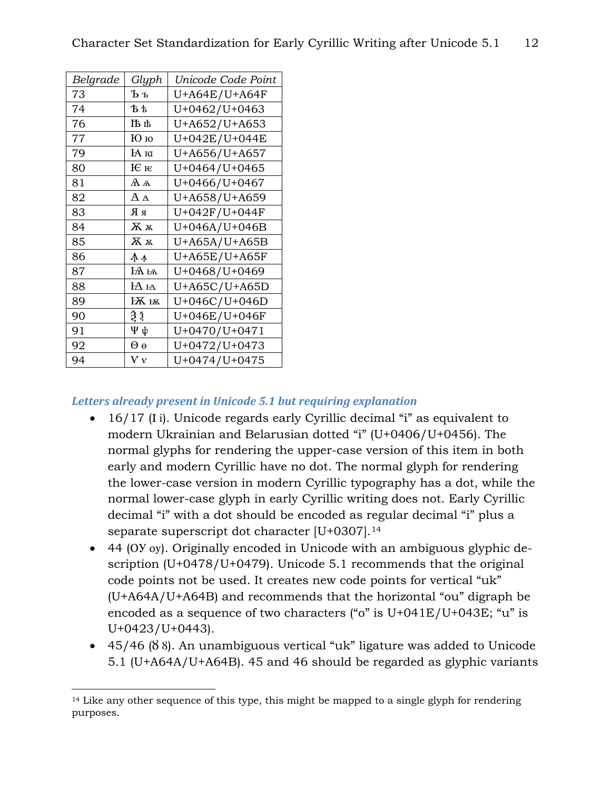| Belgrade | Glyph                           | Unicode Code Point |
|----------|---------------------------------|--------------------|
| 73       | Ъъ                              | U+A64E/U+A64F      |
| 74       | ቴ ቴ                             | U+0462/U+0463      |
| 76       | Πьѣ                             | U+A652/U+A653      |
| 77       | Юю                              | U+042E/U+044E      |
| 79       | <b>IA</b> на                    | U+A656/U+A657      |
| 80       | Юю                              | U+0464/U+0465      |
| 81       | Жa                              | U+0466/U+0467      |
| 82       | Āд                              | U+A658/U+A659      |
| 83       | RR                              | U+042F/U+044F      |
| 84       | $\overline{X} \times$           | U+046A/U+046B      |
| 85       | Жx                              | $U+AG5A/U+AG5B$    |
| 86       | $\Lambda \Lambda$               | U+A65E/U+A65F      |
| 87       | $H\!A$ на                       | U+0468/U+0469      |
| 88       | ΗД                              | U+A65C/U+A65D      |
| 89       | $H\overline{K}$ $H\overline{K}$ | U+046C/U+046D      |
| 90       | ŽѮ                              | U+046E/U+046F      |
| 91       | Ψψ                              | U+0470/U+0471      |
| 92       | ΘΘ                              | U+0472/U+0473      |
| 94       | ${\rm V}$ v                     | U+0474/U+0475      |

#### *Letters already present in Unicode 5.1 but requiring explanation*

- 16/17 (I i). Unicode regards early Cyrillic decimal "i" as equivalent to modern Ukrainian and Belarusian dotted "i" (U+0406/U+0456). The normal glyphs for rendering the upper-case version of this item in both early and modern Cyrillic have no dot. The normal glyph for rendering the lower-case version in modern Cyrillic typography has a dot, while the normal lower-case glyph in early Cyrillic writing does not. Early Cyrillic decimal "i" with a dot should be encoded as regular decimal "i" plus a separate superscript dot character [U+0307].[14](#page-11-0)
- 44 (OV oy). Originally encoded in Unicode with an ambiguous glyphic description (U+0478/U+0479). Unicode 5.1 recommends that the original code points not be used. It creates new code points for vertical "uk" (U+A64A/U+A64B) and recommends that the horizontal "ou" digraph be encoded as a sequence of two characters ("o" is U+041E/U+043E; "u" is U+0423/U+0443).
- 45/46 ( $\frac{88}{3}$ ). An unambiguous vertical "uk" ligature was added to Unicode 5.1 (U+A64A/U+A64B). 45 and 46 should be regarded as glyphic variants

<span id="page-11-0"></span><sup>-</sup><sup>14</sup> Like any other sequence of this type, this might be mapped to a single glyph for rendering purposes.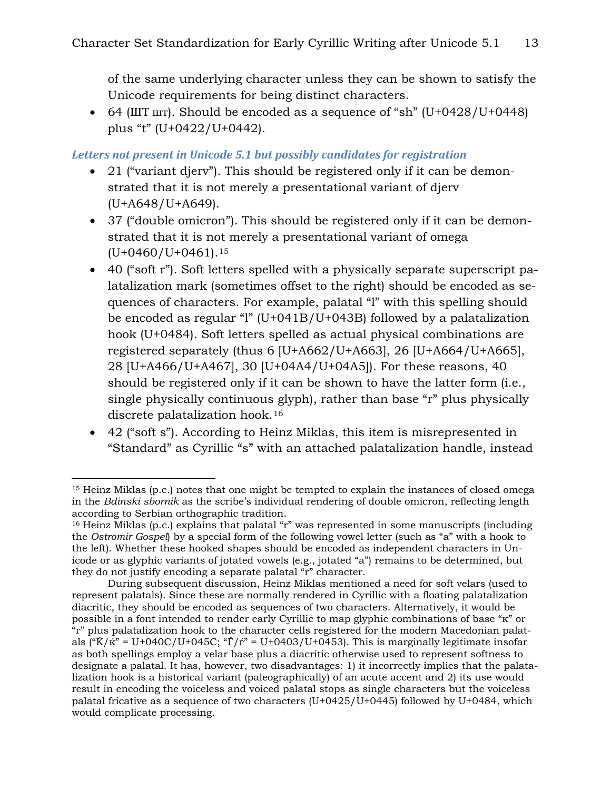of the same underlying character unless they can be shown to satisfy the Unicode requirements for being distinct characters.

• 64 (ШТ шт). Should be encoded as a sequence of "sh" (U+0428/U+0448) plus "t" (U+0422/U+0442).

#### *Letters not present in Unicode 5.1 but possibly candidates for registration*

- 21 ("variant dierv"). This should be registered only if it can be demonstrated that it is not merely a presentational variant of djerv (U+A648/U+A649).
- 37 ("double omicron"). This should be registered only if it can be demonstrated that it is not merely a presentational variant of omega (U+0460/U+0461).[15](#page-12-0)
- 40 ("soft r"). Soft letters spelled with a physically separate superscript palatalization mark (sometimes offset to the right) should be encoded as sequences of characters. For example, palatal "l" with this spelling should be encoded as regular "l" (U+041B/U+043B) followed by a palatalization hook (U+0484). Soft letters spelled as actual physical combinations are registered separately (thus 6 [U+A662/U+A663], 26 [U+A664/U+A665], 28 [U+A466/U+A467], 30 [U+04A4/U+04A5]). For these reasons, 40 should be registered only if it can be shown to have the latter form (i.e., single physically continuous glyph), rather than base "r" plus physically discrete palatalization hook.<sup>[16](#page-12-1)</sup>
- 42 ("soft s"). According to Heinz Miklas, this item is misrepresented in "Standard" as Cyrillic "s" with an attached palatalization handle, instead

<span id="page-12-0"></span> $\overline{a}$ 15 Heinz Miklas (p.c.) notes that one might be tempted to explain the instances of closed omega in the *Bdinski sbornik* as the scribe's individual rendering of double omicron, reflecting length according to Serbian orthographic tradition.

<span id="page-12-1"></span><sup>&</sup>lt;sup>16</sup> Heinz Miklas (p.c.) explains that palatal "r" was represented in some manuscripts (including the *Ostromir Gospel*) by a special form of the following vowel letter (such as "a" with a hook to the left). Whether these hooked shapes should be encoded as independent characters in Unicode or as glyphic variants of jotated vowels (e.g., jotated "a") remains to be determined, but they do not justify encoding a separate palatal "r" character.

During subsequent discussion, Heinz Miklas mentioned a need for soft velars (used to represent palatals). Since these are normally rendered in Cyrillic with a floating palatalization diacritic, they should be encoded as sequences of two characters. Alternatively, it would be possible in a font intended to render early Cyrillic to map glyphic combinations of base "к" or "г" plus palatalization hook to the character cells registered for the modern Macedonian palatals (" $K/\tilde{k}$ " = U+040C/U+045C; " $\tilde{\Gamma}/\tilde{r}$ " = U+0403/U+0453). This is marginally legitimate insofar as both spellings employ a velar base plus a diacritic otherwise used to represent softness to designate a palatal. It has, however, two disadvantages: 1) it incorrectly implies that the palatalization hook is a historical variant (paleographically) of an acute accent and 2) its use would result in encoding the voiceless and voiced palatal stops as single characters but the voiceless palatal fricative as a sequence of two characters (U+0425/U+0445) followed by U+0484, which would complicate processing.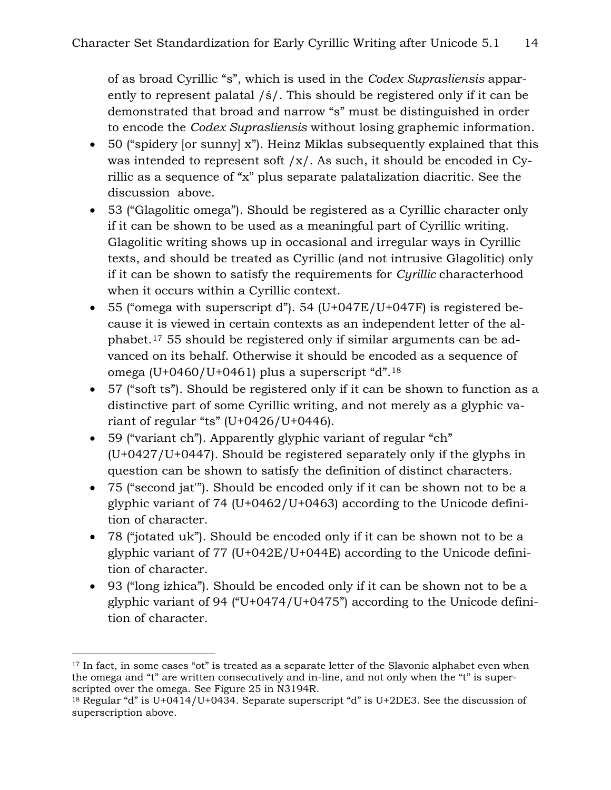of as broad Cyrillic "s", which is used in the *Codex Suprasliensis* apparently to represent palatal /ś/. This should be registered only if it can be demonstrated that broad and narrow "s" must be distinguished in order to encode the *Codex Suprasliensis* without losing graphemic information.

- 50 ("spidery [or sunny] x"). Heinz Miklas subsequently explained that this was intended to represent soft  $/x/$ . As such, it should be encoded in Cyrillic as a sequence of "x" plus separate palatalization diacritic. See the discussion above.
- 53 ("Glagolitic omega"). Should be registered as a Cyrillic character only if it can be shown to be used as a meaningful part of Cyrillic writing. Glagolitic writing shows up in occasional and irregular ways in Cyrillic texts, and should be treated as Cyrillic (and not intrusive Glagolitic) only if it can be shown to satisfy the requirements for *Cyrillic* characterhood when it occurs within a Cyrillic context.
- 55 ("omega with superscript d"). 54 (U+047E/U+047F) is registered because it is viewed in certain contexts as an independent letter of the alphabet.[17](#page-13-0) 55 should be registered only if similar arguments can be advanced on its behalf. Otherwise it should be encoded as a sequence of omega (U+0460/U+0461) plus a superscript "d".[18](#page-13-1)
- 57 ("soft ts"). Should be registered only if it can be shown to function as a distinctive part of some Cyrillic writing, and not merely as a glyphic variant of regular "ts" (U+0426/U+0446).
- 59 ("variant ch"). Apparently glyphic variant of regular "ch" (U+0427/U+0447). Should be registered separately only if the glyphs in question can be shown to satisfy the definition of distinct characters.
- 75 ("second jat′"). Should be encoded only if it can be shown not to be a glyphic variant of 74 (U+0462/U+0463) according to the Unicode definition of character.
- 78 ("jotated uk"). Should be encoded only if it can be shown not to be a glyphic variant of 77 (U+042E/U+044E) according to the Unicode definition of character.
- 93 ("long izhica"). Should be encoded only if it can be shown not to be a glyphic variant of 94 ("U+0474/U+0475") according to the Unicode definition of character.

<span id="page-13-0"></span><sup>&</sup>lt;sup>17</sup> In fact, in some cases "ot" is treated as a separate letter of the Slavonic alphabet even when the omega and "t" are written consecutively and in-line, and not only when the "t" is superscripted over the omega. See Figure 25 in N3194R.

<span id="page-13-1"></span><sup>18</sup> Regular "d" is U+0414/U+0434. Separate superscript "d" is U+2DE3. See the discussion of superscription above.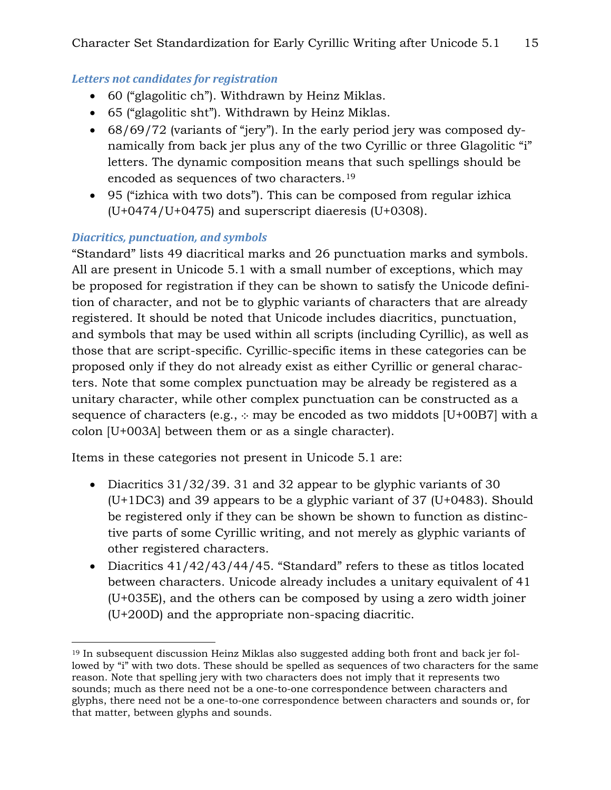#### *Letters not candidates for registration*

- 60 ("glagolitic ch"). Withdrawn by Heinz Miklas.
- 65 ("glagolitic sht"). Withdrawn by Heinz Miklas.
- 68/69/72 (variants of "jery"). In the early period jery was composed dynamically from back jer plus any of the two Cyrillic or three Glagolitic "i" letters. The dynamic composition means that such spellings should be encoded as sequences of two characters.[19](#page-14-0)
- 95 ("izhica with two dots"). This can be composed from regular izhica (U+0474/U+0475) and superscript diaeresis (U+0308).

#### *Diacritics, punctuation, and symbols*

 $\overline{a}$ 

"Standard" lists 49 diacritical marks and 26 punctuation marks and symbols. All are present in Unicode 5.1 with a small number of exceptions, which may be proposed for registration if they can be shown to satisfy the Unicode definition of character, and not be to glyphic variants of characters that are already registered. It should be noted that Unicode includes diacritics, punctuation, and symbols that may be used within all scripts (including Cyrillic), as well as those that are script-specific. Cyrillic-specific items in these categories can be proposed only if they do not already exist as either Cyrillic or general characters. Note that some complex punctuation may be already be registered as a unitary character, while other complex punctuation can be constructed as a sequence of characters (e.g.,  $\therefore$  may be encoded as two middots [U+00B7] with a colon [U+003A] between them or as a single character).

Items in these categories not present in Unicode 5.1 are:

- Diacritics 31/32/39. 31 and 32 appear to be glyphic variants of 30 (U+1DC3) and 39 appears to be a glyphic variant of 37 (U+0483). Should be registered only if they can be shown be shown to function as distinctive parts of some Cyrillic writing, and not merely as glyphic variants of other registered characters.
- Diacritics 41/42/43/44/45. "Standard" refers to these as titlos located between characters. Unicode already includes a unitary equivalent of 41 (U+035E), and the others can be composed by using a zero width joiner (U+200D) and the appropriate non-spacing diacritic.

<span id="page-14-0"></span><sup>&</sup>lt;sup>19</sup> In subsequent discussion Heinz Miklas also suggested adding both front and back jer followed by "i" with two dots. These should be spelled as sequences of two characters for the same reason. Note that spelling jery with two characters does not imply that it represents two sounds; much as there need not be a one-to-one correspondence between characters and glyphs, there need not be a one-to-one correspondence between characters and sounds or, for that matter, between glyphs and sounds.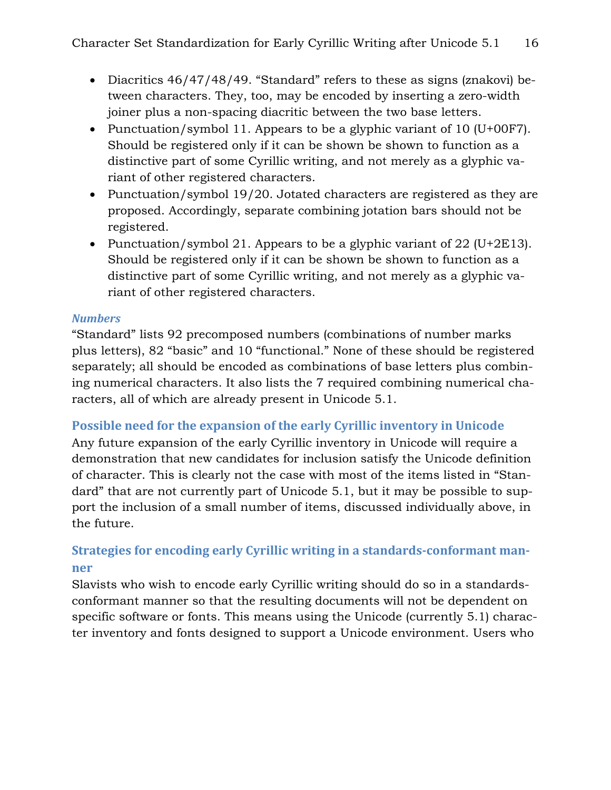- Diacritics 46/47/48/49. "Standard" refers to these as signs (znakovi) between characters. They, too, may be encoded by inserting a zero-width joiner plus a non-spacing diacritic between the two base letters.
- Punctuation/symbol 11. Appears to be a glyphic variant of 10 (U+00F7). Should be registered only if it can be shown be shown to function as a distinctive part of some Cyrillic writing, and not merely as a glyphic variant of other registered characters.
- Punctuation/symbol 19/20. Jotated characters are registered as they are proposed. Accordingly, separate combining jotation bars should not be registered.
- Punctuation/symbol 21. Appears to be a glyphic variant of 22 (U+2E13). Should be registered only if it can be shown be shown to function as a distinctive part of some Cyrillic writing, and not merely as a glyphic variant of other registered characters.

#### *Numbers*

"Standard" lists 92 precomposed numbers (combinations of number marks plus letters), 82 "basic" and 10 "functional." None of these should be registered separately; all should be encoded as combinations of base letters plus combining numerical characters. It also lists the 7 required combining numerical characters, all of which are already present in Unicode 5.1.

**Possible need for the expansion of the early Cyrillic inventory in Unicode**

Any future expansion of the early Cyrillic inventory in Unicode will require a demonstration that new candidates for inclusion satisfy the Unicode definition of character. This is clearly not the case with most of the items listed in "Standard" that are not currently part of Unicode 5.1, but it may be possible to support the inclusion of a small number of items, discussed individually above, in the future.

# **Strategies for encoding early Cyrillic writing in a standardsconformant manner**

Slavists who wish to encode early Cyrillic writing should do so in a standardsconformant manner so that the resulting documents will not be dependent on specific software or fonts. This means using the Unicode (currently 5.1) character inventory and fonts designed to support a Unicode environment. Users who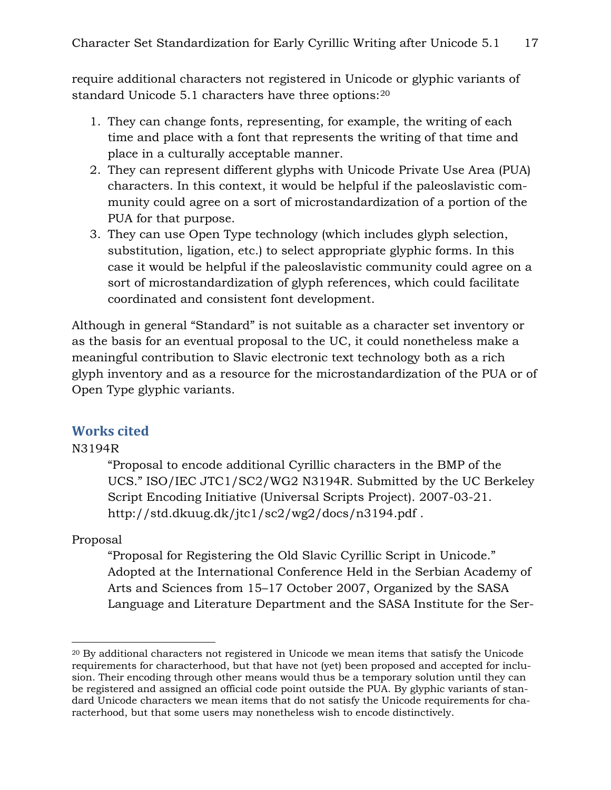require additional characters not registered in Unicode or glyphic variants of standard Unicode 5.1 characters have three options:<sup>[20](#page-16-0)</sup>

- 1. They can change fonts, representing, for example, the writing of each time and place with a font that represents the writing of that time and place in a culturally acceptable manner.
- 2. They can represent different glyphs with Unicode Private Use Area (PUA) characters. In this context, it would be helpful if the paleoslavistic community could agree on a sort of microstandardization of a portion of the PUA for that purpose.
- 3. They can use Open Type technology (which includes glyph selection, substitution, ligation, etc.) to select appropriate glyphic forms. In this case it would be helpful if the paleoslavistic community could agree on a sort of microstandardization of glyph references, which could facilitate coordinated and consistent font development.

Although in general "Standard" is not suitable as a character set inventory or as the basis for an eventual proposal to the UC, it could nonetheless make a meaningful contribution to Slavic electronic text technology both as a rich glyph inventory and as a resource for the microstandardization of the PUA or of Open Type glyphic variants.

# **Works cited**

#### N3194R

"Proposal to encode additional Cyrillic characters in the BMP of the UCS." ISO/IEC JTC1/SC2/WG2 N3194R. Submitted by the UC Berkeley Script Encoding Initiative (Universal Scripts Project). 2007-03-21. http://std.dkuug.dk/jtc1/sc2/wg2/docs/n3194.pdf .

# Proposal

 $\overline{a}$ 

"Proposal for Registering the Old Slavic Cyrillic Script in Unicode." Adopted at the International Conference Held in the Serbian Academy of Arts and Sciences from 15–17 October 2007, Organized by the SASA Language and Literature Department and the SASA Institute for the Ser-

<span id="page-16-0"></span><sup>&</sup>lt;sup>20</sup> By additional characters not registered in Unicode we mean items that satisfy the Unicode requirements for characterhood, but that have not (yet) been proposed and accepted for inclusion. Their encoding through other means would thus be a temporary solution until they can be registered and assigned an official code point outside the PUA. By glyphic variants of standard Unicode characters we mean items that do not satisfy the Unicode requirements for characterhood, but that some users may nonetheless wish to encode distinctively.